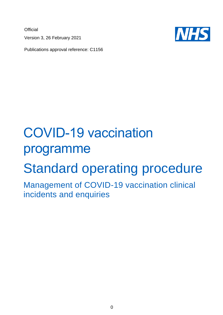**Official** Version 3, 26 February 2021



Publications approval reference: C1156

# COVID-19 vaccination programme

# Standard operating procedure

Management of COVID-19 vaccination clinical incidents and enquiries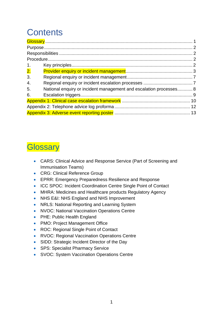# **Contents**

| 1.                        |                                                                    |  |
|---------------------------|--------------------------------------------------------------------|--|
| $\overline{\mathbf{2}}$ . |                                                                    |  |
| 3.                        |                                                                    |  |
| 4.                        |                                                                    |  |
| 5.                        | National enquiry or incident management and escalation processes 8 |  |
| 6.                        |                                                                    |  |
|                           |                                                                    |  |
|                           |                                                                    |  |
|                           |                                                                    |  |

### <span id="page-1-0"></span>**Glossary**

- CARS: Clinical Advice and Response Service (Part of Screening and Immunisation Teams)
- CRG: Clinical Reference Group
- EPRR: Emergency Preparedness Resilience and Response
- ICC SPOC: Incident Coordination Centre Single Point of Contact
- MHRA: Medicines and Healthcare products Regulatory Agency
- NHS E&I: NHS England and NHS Improvement
- NRLS: National Reporting and Learning System
- NVOC: National Vaccination Operations Centre
- PHE: Public Health England
- PMO: Project Management Office
- ROC: Regional Single Point of Contact
- RVOC: Regional Vaccination Operations Centre
- SIDD: Strategic Incident Director of the Day
- SPS: Specialist Pharmacy Service
- SVOC: System Vaccination Operations Centre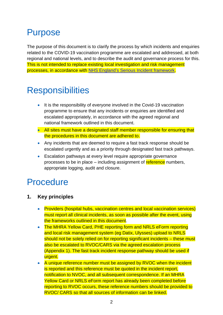## <span id="page-2-0"></span>Purpose

The purpose of this document is to clarify the process by which incidents and enquiries related to the COVID-19 vaccination programme are escalated and addressed, at both regional and national levels, and to describe the audit and governance process for this. This is not intended to replace existing local investigation and risk management processes, in accordance with NHS England's Serious Incident [framework.](https://www.england.nhs.uk/patient-safety/serious-incident-framework/)

## <span id="page-2-1"></span>**Responsibilities**

- It is the responsibility of everyone involved in the Covid-19 vaccination programme to ensure that any incidents or enquiries are identified and escalated appropriately, in accordance with the agreed regional and national framework outlined in this document.
- All sites must have a designated staff member responsible for ensuring that the procedures in this document are adhered to.
- Any incidents that are deemed to require a fast track response should be escalated urgently and as a priority through designated fast track pathways.
- Escalation pathways at every level require appropriate governance processes to be in place – including assignment of reference numbers, appropriate logging, audit and closure.

### <span id="page-2-2"></span>**Procedure**

- <span id="page-2-3"></span>**1. Key principles**
	- Providers (hospital hubs, vaccination centres and local vaccination services) must report all clinical incidents, as soon as possible after the event, using the frameworks outlined in this document.
	- The MHRA Yellow Card, PHE reporting form and NRLS eForm reporting and local risk management system (eg Datix, Ulysses) upload to NRLS should not be solely relied on for reporting significant incidents – these must also be escalated to RVOC/CARS via the agreed escalation process (Appendix 1). The fast track incident response pathway should be used if urgent.
	- A unique reference number must be assigned by RVOC when the incident is reported and this reference must be quoted in the incident report, notification to NVOC, and all subsequent correspondence. If an MHRA Yellow Card or NRLS eForm report has already been completed before reporting to RVOC occurs, these reference numbers should be provided to RVOC/ CARS so that all sources of information can be linked.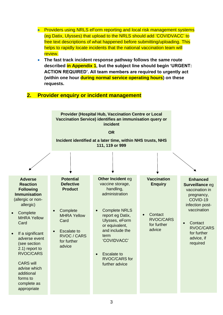- Providers using NRLS eForm reporting and local risk management systems (eg Datix, Ulysses) that upload to the NRLS should add 'COVIDVACC' to free text descriptions of what happened before submitting/uploading. This helps to rapidly locate incidents that the national vaccination team will review.
- **The fast track incident response pathway follows the same route described in Appendix 1, but the subject line should begin 'URGENT: ACTION REQUIRED'. All team members are required to urgently act (within one hour during normal service operating hours) on these requests.**

#### <span id="page-3-0"></span>**2. Provider enquiry or incident management**

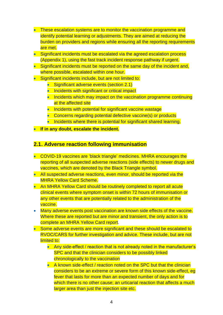- These escalation systems are to monitor the vaccination programme and identify potential learning or adjustments. They are aimed at reducing the burden on providers and regions while ensuring all the reporting requirements are met.
- Significant incidents must be escalated via the agreed escalation process (Appendix 1), using the fast track incident response pathway if urgent.
- Significant incidents must be reported on the same day of the incident and. where possible, escalated within one hour.
- Significant incidents include, but are not limited to:
	- Significant adverse events (section 2.1)
	- Incidents with significant or critical impact
	- Incidents which may impact on the vaccination programme continuing at the affected site
	- Incidents with potential for significant vaccine wastage
	- Concerns regarding potential defective vaccine(s) or products
	- Incidents where there is potential for significant shared learning.
- **If in any doubt, escalate the incident.**

#### **2.1. Adverse reaction following immunisation**

- COVID-19 vaccines are 'black triangle' medicines. MHRA encourages the reporting of all suspected adverse reactions (side effects) to newer drugs and vaccines, which are denoted by the Black Triangle symbol.
- All suspected adverse reactions, even minor, should be reported via the MHRA Yellow Card Scheme.
- An MHRA Yellow Card should be routinely completed to report all acute clinical events where symptom onset is within 72 hours of immunisation or any other events that are potentially related to the administration of the vaccine.
- Many adverse events post vaccination are known side effects of the vaccine. Where these are reported but are minor and transient, the only action is to complete an MHRA Yellow Card report.
- Some adverse events are more significant and these should be escalated to RVOC/CARS for further investigation and advice. These include, but are not limited to:
	- Any side-effect / reaction that is not already noted in the manufacturer's SPC and that the clinician considers to be possibly linked chronologically to the vaccination
	- A known side-effect / reaction noted on the SPC but that the clinician considers to be an extreme or severe form of this known side-effect, eg fever that lasts for more than an expected number of days and for which there is no other cause; an urticarial reaction that affects a much larger area than just the injection site etc.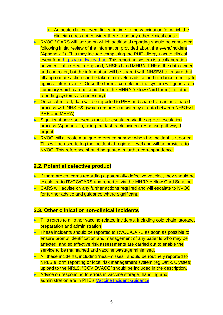• An acute clinical event linked in time to the vaccination for which the clinician does not consider there to be any other clinical cause.

- RVOC / CARS will advise on which additional reporting should be completed following initial review of the information provided about the event/incident (Appendix 3). This may include completing the PHE allergy / acute clinical event form [https://cutt.ly/covid-ae.](https://cutt.ly/covid-ae) This reporting system is a collaboration between Public Health England, NHSE&I and MHRA. PHE is the data owner and controller, but the information will be shared with NHSE&I to ensure that all appropriate action can be taken to develop advice and guidance to mitigate against future events. Once the form is completed, the system will generate a summary which can be copied into the MHRA Yellow Card form (and other reporting systems as necessary).
- Once submitted, data will be reported to PHE and shared via an automated process with NHS E&I (which ensures consistency of data between NHS E&I, **PHE and MHRA)**
- Significant adverse events must be escalated via the agreed escalation process (Appendix 1), using the fast track incident response pathway if urgent.
- RVOC will allocate a unique reference number when the incident is reported. This will be used to log the incident at regional level and will be provided to NVOC. This reference should be quoted in further correspondence.

#### **2.2. Potential defective product**

- If there are concerns regarding a potentially defective vaccine, they should be escalated to RVOC/CARS and reported via the MHRA Yellow Card Scheme.
- CARS will advise on any further actions required and will escalate to NVOC for further advice and guidance where significant.

#### **2.3. Other clinical or non-clinical incidents**

- This refers to all other vaccine-related incidents, including cold chain, storage, preparation and administration.
- These incidents should be reported to RVOC/CARS as soon as possible to ensure prompt identification and management of any patients who may be affected, and so effective risk assessments are carried out to enable the service to be maintained and vaccine wastage minimised.
- All these incidents, including 'near-misses', should be routinely reported to NRLS eForm reporting or local risk management system (eg Datix, Ulysses) upload to the NRLS. "COVIDVACC" should be included in the description.
- Advice on responding to errors in vaccine storage, handling and administration are in PHE's [Vaccine Incident Guidance](https://assets.publishing.service.gov.uk/government/uploads/system/uploads/attachment_data/file/859773/PHE_vaccine_incident_guidance_January_2020.pdf)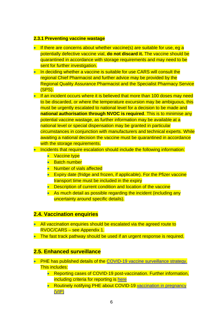#### **2.3.1 Preventing vaccine wastage**

- If there are concerns about whether vaccine(s) are suitable for use, eg a potentially defective vaccine vial, **do not discard it.** The vaccine should be quarantined in accordance with storage requirements and may need to be sent for further investigation.
- In deciding whether a vaccine is suitable for use CARS will consult the regional Chief Pharmacist and further advice may be provided by the Regional Quality Assurance Pharmacist and the Specialist Pharmacy Service (SPS).
- If an incident occurs where it is believed that more than 100 doses may need to be discarded, or where the temperature excursion may be ambiguous, this must be urgently escalated to national level for a decision to be made and **national authorisation through NVOC is required**. This is to minimise any potential vaccine wastage, as further information may be available at a national level or special dispensation may be granted in particular circumstances in conjunction with manufacturers and technical experts. While awaiting a national decision the vaccine must be quarantined in accordance with the storage requirements.
- Incidents that require escalation should include the following information:
	- Vaccine type
	- Batch number
	- Number of vials affected
	- Expiry date (fridge and frozen, if applicable). For the Pfizer vaccine transport time must be included in the expiry
	- Description of current condition and location of the vaccine
	- As much detail as possible regarding the incident (including any uncertainty around specific details).

#### **2.4. Vaccination enquiries**

- All vaccination enquiries should be escalated via the agreed route to RVOC/CARS – see Appendix 1.
- The fast track pathway should be used if an urgent response is required.

#### **2.5. Enhanced surveillance**

- PHE has published details of the [COVID-19 vaccine surveillance strategy.](https://assets.publishing.service.gov.uk/government/uploads/system/uploads/attachment_data/file/951189/COVID-19_vaccine_surveillance_strategy.pdf) This includes:
	- Reporting cases of COVID-19 post-vaccination. Further information, including criteria for reporting is [here](https://www.gov.uk/government/publications/covid-19-enhanced-surveillance-of-cases-in-vaccinated-individuals/reporting-to-the-enhanced-surveillance-of-covid-19-cases-in-vaccinated-individuals#criteria-for-reporting)
	- Routinely notifying PHE about COVID-19 vaccination in pregnancy [\(VIP\)](https://www.gov.uk/guidance/vaccination-in-pregnancy-vip)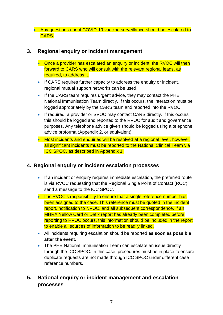• Any questions about COVID-19 vaccine surveillance should be escalated to CARS.

#### <span id="page-7-0"></span>**3. Regional enquiry or incident management**

- Once a provider has escalated an enquiry or incident, the RVOC will then forward to CARS who will consult with the relevant regional leads, as required, to address it.
- If CARS requires further capacity to address the enquiry or incident, regional mutual support networks can be used.
- If the CARS team requires urgent advice, they may contact the PHE National Immunisation Team directly. If this occurs, the interaction must be logged appropriately by the CARS team and reported into the RVOC.
- If required, a provider or SVOC may contact CARS directly. If this occurs, this should be logged and reported to the RVOC for audit and governance purposes. Any telephone advice given should be logged using a telephone advice proforma (Appendix 2, or equivalent).
- Most incidents and enquiries will be resolved at a regional level, however, all significant incidents must be reported to the National Clinical Team via ICC SPOC, as described in Appendix 1.

#### <span id="page-7-1"></span>**4. Regional enquiry or incident escalation processes**

- If an incident or enquiry requires immediate escalation, the preferred route is via RVOC requesting that the Regional Single Point of Contact (ROC) send a message to the ICC SPOC.
- It is RVOC's responsibility to ensure that a single reference number has been assigned to the case. This reference must be quoted in the incident report, notification to NVOC, and all subsequent correspondence. If an MHRA Yellow Card or Datix report has already been completed before reporting to RVOC occurs, this information should be included in the report to enable all sources of information to be readily linked.
- All incidents requiring escalation should be reported **as soon as possible after the event.**
- The PHE National Immunisation Team can escalate an issue directly through the ICC SPOC. In this case, procedures must be in place to ensure duplicate requests are not made through ICC SPOC under different case reference numbers.

#### <span id="page-7-2"></span>**5. National enquiry or incident management and escalation processes**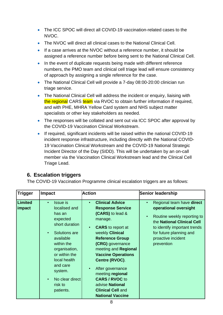- The ICC SPOC will direct all COVID-19 vaccination-related cases to the NVOC.
- The NVOC will direct all clinical cases to the National Clinical Cell.
- If a case arrives at the NVOC without a reference number, it should be assigned a reference number before being sent to the National Clinical Cell.
- In the event of duplicate requests being made with different reference numbers, the PMO team and clinical cell triage lead will ensure consistency of approach by assigning a single reference for the case.
- The National Clinical Cell will provide a 7-day 08:00-20:00 clinician run triage service.
- The National Clinical Cell will address the incident or enquiry, liaising with the regional CARS team via RVOC to obtain further information if required, and with PHE, MHRA Yellow Card system and NHS subject matter specialists or other key stakeholders as needed.
- The responses will be collated and sent out via ICC SPOC after approval by the COVID-19 Vaccination Clinical Workstream.
- If required, significant incidents will be raised within the national COVID-19 incident response infrastructure, including directly with the National COVID-19 Vaccination Clinical Workstream and the COVID-19 National Strategic Incident Director of the Day (SIDD). This will be undertaken by an on-call member via the Vaccination Clinical Workstream lead and the Clinical Cell Triage Lead.

#### <span id="page-8-0"></span>**6. Escalation triggers**

The COVID-19 Vaccination Programme clinical escalation triggers are as follows:

| <b>Trigger</b>           | <b>Impact</b>                                                                                                                                                                                                                            | <b>Action</b>                                                                                                                                                                                                                                                                                                                                                                                                                          | <b>Senior leadership</b>                                                                                                                                                                                                                 |
|--------------------------|------------------------------------------------------------------------------------------------------------------------------------------------------------------------------------------------------------------------------------------|----------------------------------------------------------------------------------------------------------------------------------------------------------------------------------------------------------------------------------------------------------------------------------------------------------------------------------------------------------------------------------------------------------------------------------------|------------------------------------------------------------------------------------------------------------------------------------------------------------------------------------------------------------------------------------------|
| <b>Limited</b><br>impact | <b>Issue</b> is<br>localised and<br>has an<br>expected<br>short duration<br>Solutions are<br>available<br>within the<br>organisation,<br>or within the<br>local health<br>and care<br>system.<br>No clear direct<br>risk to<br>patients. | <b>Clinical Advice</b><br>$\bullet$<br><b>Response Service</b><br>(CARS) to lead &<br>manage.<br><b>CARS</b> to report at<br>$\bullet$<br>weekly Clinical<br><b>Reference Group</b><br>(CRG) governance<br>meeting and Regional<br><b>Vaccine Operations</b><br>Centre (RVOC).<br>After governance<br>$\bullet$<br>meeting regional<br><b>CARS / RVOC to</b><br>advise National<br><b>Clinical Cell and</b><br><b>National Vaccine</b> | Regional team have direct<br>$\bullet$<br>operational oversight<br>Routine weekly reporting to<br>$\bullet$<br>the National Clinical Cell<br>to identify important trends<br>for future planning and<br>proactive incident<br>prevention |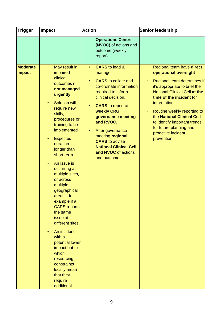| <b>Trigger</b>                   | <b>Impact</b>                                                                                                                                                                                                                                                                                                                                                                                                                                                                                                                                                                                                                                                 | <b>Action</b>                                                                                                                                                                                                                                                                                                                                                                                      | <b>Senior leadership</b>                                                                                                                                                                                                                                                                                                                                                                    |
|----------------------------------|---------------------------------------------------------------------------------------------------------------------------------------------------------------------------------------------------------------------------------------------------------------------------------------------------------------------------------------------------------------------------------------------------------------------------------------------------------------------------------------------------------------------------------------------------------------------------------------------------------------------------------------------------------------|----------------------------------------------------------------------------------------------------------------------------------------------------------------------------------------------------------------------------------------------------------------------------------------------------------------------------------------------------------------------------------------------------|---------------------------------------------------------------------------------------------------------------------------------------------------------------------------------------------------------------------------------------------------------------------------------------------------------------------------------------------------------------------------------------------|
|                                  |                                                                                                                                                                                                                                                                                                                                                                                                                                                                                                                                                                                                                                                               | <b>Operations Centre</b><br>(NVOC) of actions and<br>outcome (weekly<br>report).                                                                                                                                                                                                                                                                                                                   |                                                                                                                                                                                                                                                                                                                                                                                             |
| <b>Moderate</b><br><b>impact</b> | May result in<br>$\bullet$<br>impaired<br>clinical<br>outcomes if<br>not managed<br>urgently<br><b>Solution will</b><br>$\bullet$<br>require new<br>skills,<br>procedures or<br>training to be<br>implemented.<br><b>Expected</b><br>$\bullet$<br>duration<br>longer than<br>short-term.<br>An issue is<br>$\bullet$<br>occurring at<br>multiple sites,<br>or across<br>multiple<br>geographical<br>$area - for$<br>example if a<br><b>CARS</b> reports<br>the same<br>issue at<br>different sites.<br>An incident<br>with a<br>potential lower<br>impact but for<br>which<br>resourcing<br>constraints<br>locally mean<br>that they<br>require<br>additional | <b>CARS</b> to lead &<br>$\bullet$<br>manage.<br><b>CARS</b> to collate and<br>$\bullet$<br>co-ordinate information<br>required to inform<br>clinical decision.<br><b>CARS</b> to report at<br>weekly CRG<br>governance meeting<br>and RVOC.<br>After governance<br>$\bullet$<br>meeting regional<br><b>CARS</b> to advise<br><b>National Clinical Cell</b><br>and NVOC of actions<br>and outcome. | Regional team have direct<br>$\bullet$<br>operational oversight<br>Regional team determines if<br>it's appropriate to brief the<br><b>National Clinical Cell at the</b><br>time of the incident for<br>information<br>Routine weekly reporting to<br>$\bullet$<br>the National Clinical Cell<br>to identify important trends<br>for future planning and<br>proactive incident<br>prevention |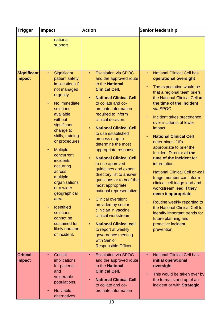| <b>Trigger</b>            | <b>Impact</b>                                                                                                                                                                                                                                                                                                  | <b>Action</b>                                                                                                                                                                                                                                                                                                                                                                                                                                                                                                                            | <b>Senior leadership</b>                                                                                                                                                                                                                                                                                                                                                                                                                                                   |
|---------------------------|----------------------------------------------------------------------------------------------------------------------------------------------------------------------------------------------------------------------------------------------------------------------------------------------------------------|------------------------------------------------------------------------------------------------------------------------------------------------------------------------------------------------------------------------------------------------------------------------------------------------------------------------------------------------------------------------------------------------------------------------------------------------------------------------------------------------------------------------------------------|----------------------------------------------------------------------------------------------------------------------------------------------------------------------------------------------------------------------------------------------------------------------------------------------------------------------------------------------------------------------------------------------------------------------------------------------------------------------------|
| Significant<br>impact     | national<br>support.<br>Significant<br>$\bullet$<br>patient safety<br>implications if<br>not managed<br>urgently<br>No immediate<br>$\bullet$<br>solutions<br>available<br>without<br>significant                                                                                                              | <b>Escalation via SPOC</b><br>$\bullet$<br>and the approved route<br>to the National<br><b>Clinical Cell.</b><br><b>National Clinical Cell</b><br>to collate and co-<br>ordinate information<br>required to inform<br>clinical decision.<br><b>National Clinical Cell</b>                                                                                                                                                                                                                                                                | <b>National Clinical Cell has</b><br>$\bullet$<br>operational oversight<br>The expectation would be<br>that a regional team briefs<br>the National Clinical Cell at<br>the time of the incident<br>via SPOC<br>Incident takes precedence<br>$\bullet$<br>over incidents of lower<br>impact                                                                                                                                                                                 |
|                           | change to<br>skills, training<br>or procedures.<br><b>Multiple</b><br>$\bullet$<br>concurrent<br>incidents<br>occurring<br>across<br>multiple<br>organisations<br>or a wider<br>geographical<br>area.<br>Identified<br>$\bullet$<br>solutions<br>cannot be<br>sustained for<br>likely duration<br>of incident. | to use established<br>process map to<br>determine the most<br>appropriate response.<br><b>National Clinical Cell</b><br>$\bullet$<br>to use approved<br>guidelines and expert<br>directory list to answer<br>questions or to brief the<br>most appropriate<br>national representative.<br><b>Clinical oversight</b><br>$\bullet$<br>provided by senior<br>clinician in vaccine<br>clinical workstream.<br><b>National Clinical cell</b><br>$\bullet$<br>to report at weekly<br>governance meeting<br>with Senior<br>Responsible Officer. | <b>National Clinical Cell</b><br>determines if it's<br>appropriate to brief the<br>Incident Director at the<br>time of the incident for<br>information<br><b>National Clinical Cell on-call</b><br>triage member can inform<br>clinical cell triage lead and<br>workstream lead if they<br>deem it appropriate<br>Routine weekly reporting to<br>the National Clinical Cell to<br>identify important trends for<br>future planning and<br>proactive incident<br>prevention |
| <b>Critical</b><br>impact | <b>Critical</b><br>$\bullet$<br>implications<br>for patients<br>and<br>vulnerable<br>populations.<br>No viable<br>$\bullet$<br>alternatives                                                                                                                                                                    | <b>Escalation via SPOC</b><br>$\bullet$<br>and the approved route<br>to the National<br><b>Clinical Cell.</b><br><b>National Clinical Cell</b><br>to collate and co-<br>ordinate information                                                                                                                                                                                                                                                                                                                                             | <b>National Clinical Cell has</b><br>$\bullet$<br>initial operational<br>oversight<br>This would be taken over by<br>the formal stand up of an<br>incident or with Strategic                                                                                                                                                                                                                                                                                               |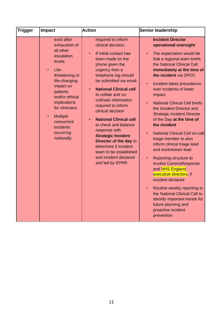| Trigger | <b>Impact</b>                                                                                                                                                                                                                                                                                           | <b>Action</b>                                                                                                                                                                                                                                                                                                                                                                                                                                                                                                                           | Senior leadership                                                                                                                                                                                                                                                                                                                                                                                                                                                                                                                                                                                                                                                                                                                                                                                                                                                                                                    |
|---------|---------------------------------------------------------------------------------------------------------------------------------------------------------------------------------------------------------------------------------------------------------------------------------------------------------|-----------------------------------------------------------------------------------------------------------------------------------------------------------------------------------------------------------------------------------------------------------------------------------------------------------------------------------------------------------------------------------------------------------------------------------------------------------------------------------------------------------------------------------------|----------------------------------------------------------------------------------------------------------------------------------------------------------------------------------------------------------------------------------------------------------------------------------------------------------------------------------------------------------------------------------------------------------------------------------------------------------------------------------------------------------------------------------------------------------------------------------------------------------------------------------------------------------------------------------------------------------------------------------------------------------------------------------------------------------------------------------------------------------------------------------------------------------------------|
|         | exist after<br>exhaustion of<br>all other<br>escalation<br>levels.<br>Life-<br>$\bullet$<br>threatening or<br>life-changing<br>impact on<br>patients<br>and/or ethical<br><i>implications</i><br>for clinicians.<br><b>Multiple</b><br>$\bullet$<br>concurrent<br>incidents<br>occurring<br>nationally. | required to inform<br>clinical decision.<br>If initial contact has<br>been made on the<br>phone given the<br>urgency then a<br>telephone log should<br>be submitted via email<br><b>National Clinical cell</b><br>to collate and co-<br>ordinate information<br>required to inform<br>clinical decision<br><b>National Clinical cell</b><br>to check and balance<br>response with<br><b>Strategic Incident</b><br>Director of the day to<br>determine if Incident<br>team to be established<br>and incident declared<br>and led by EPRR | <b>Incident Director</b><br>operational oversight<br>The expectation would be<br>$\bullet$<br>that a regional team briefs<br>the National Clinical Cell<br>immediately at the time of<br>the incident via SPOC<br>Incident takes precedence<br>$\bullet$<br>over incidents of lower<br>impact.<br><b>National Clinical Cell briefs</b><br>$\bullet$<br>the Incident Director and<br><b>Strategic Incident Director</b><br>of the Day at the time of<br>the incident<br><b>National Clinical Cell on-call</b><br>$\bullet$<br>triage member to also<br>inform clinical triage lead<br>and workstream lead<br>Reporting structure to<br>$\bullet$<br>involve CommsResponse<br>and NHS England<br>executive directors, if<br>incident declared<br>Routine weekly reporting to<br>$\bullet$<br>the National Clinical Cell to<br>identify important trends for<br>future planning and<br>proactive incident<br>prevention |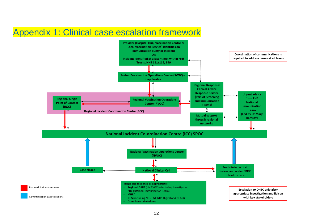### Appendix 1: Clinical case escalation framework

<span id="page-12-0"></span>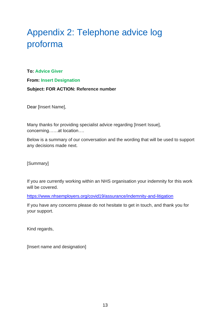# <span id="page-13-0"></span>Appendix 2: Telephone advice log proforma

**To: Advice Giver** 

**From: Insert Designation**

#### **Subject: FOR ACTION: Reference number**

Dear [Insert Name],

Many thanks for providing specialist advice regarding [Insert Issue], concerning……at location….

Below is a summary of our conversation and the wording that will be used to support any decisions made next.

[Summary]

If you are currently working within an NHS organisation your indemnity for this work will be covered.

<https://www.nhsemployers.org/covid19/assurance/indemnity-and-litigation>

If you have any concerns please do not hesitate to get in touch, and thank you for your support.

Kind regards,

[Insert name and designation]